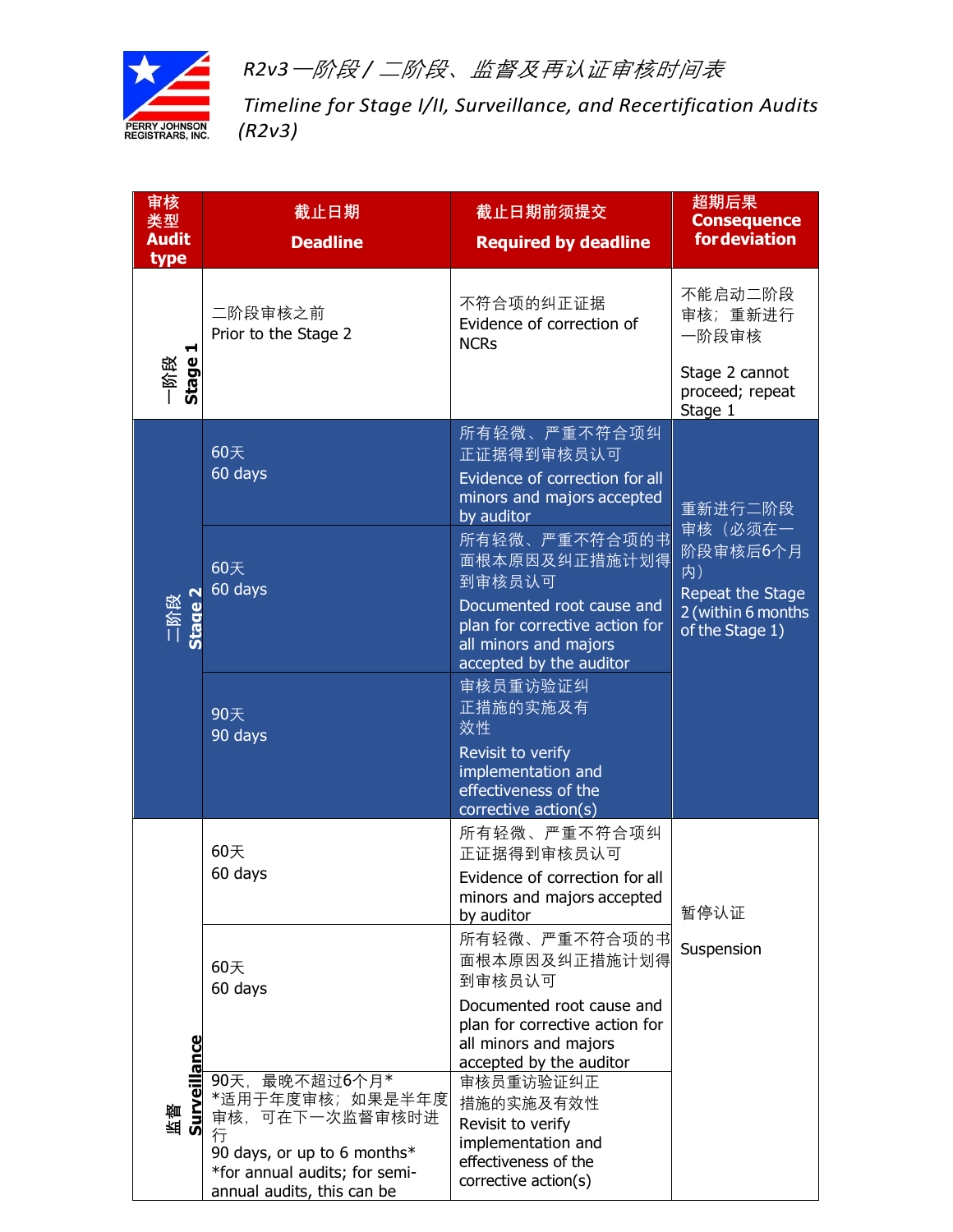

*R2v3*一阶段 */* 二阶段、监督及再认证审核时间表

*Timeline for Stage I/II, Surveillance, and Recertification Audits (R2v3)*

| 审核<br>类型<br><b>Audit</b>  | 截止日期<br><b>Deadline</b>                                                                                                                                | 截止日期前须提交<br><b>Required by deadline</b>                                                                                                                     | 超期后果<br><b>Consequence</b><br><b>for deviation</b>                                     |
|---------------------------|--------------------------------------------------------------------------------------------------------------------------------------------------------|-------------------------------------------------------------------------------------------------------------------------------------------------------------|----------------------------------------------------------------------------------------|
| type                      |                                                                                                                                                        |                                                                                                                                                             |                                                                                        |
| ᆏ<br>Stage<br>一阶段         | 二阶段审核之前<br>Prior to the Stage 2                                                                                                                        | 不符合项的纠正证据<br>Evidence of correction of<br><b>NCRs</b>                                                                                                       | 不能启动二阶段<br>审核;重新进行<br>一阶段审核<br>Stage 2 cannot<br>proceed; repeat                       |
|                           |                                                                                                                                                        |                                                                                                                                                             | Stage 1                                                                                |
|                           | 60天<br>60 days                                                                                                                                         | 所有轻微、严重不符合项纠<br>正证据得到审核员认可<br>Evidence of correction for all<br>minors and majors accepted<br>by auditor                                                    | 重新进行二阶段                                                                                |
| 二阶段<br>Stage 2            | 60天<br>60 days                                                                                                                                         | 所有轻微、严重不符合项的书<br>面根本原因及纠正措施计划得<br>到审核员认可<br>Documented root cause and<br>plan for corrective action for<br>all minors and majors<br>accepted by the auditor | 审核(必须在一<br>阶段审核后6个月<br>内)<br>Repeat the Stage<br>2 (within 6 months<br>of the Stage 1) |
|                           | 90天<br>90 days                                                                                                                                         | 审核员重访验证纠<br>正措施的实施及有<br>效性<br>Revisit to verify<br>implementation and<br>effectiveness of the<br>corrective action(s)                                       |                                                                                        |
|                           | 60天<br>60 days                                                                                                                                         | 所有轻微、严重不符合项纠<br>正证据得到审核员认可<br>Evidence of correction for all<br>minors and majors accepted<br>by auditor                                                    | 暂停认证                                                                                   |
|                           | 60天<br>60 days                                                                                                                                         | 所有轻微、严重不符合项的书<br>面根本原因及纠正措施计划得<br>到审核员认可                                                                                                                    | Suspension                                                                             |
|                           |                                                                                                                                                        | Documented root cause and<br>plan for corrective action for<br>all minors and majors<br>accepted by the auditor                                             |                                                                                        |
| <b>Surveillance</b><br>甜麵 | 90天, 最晚不超过6个月*<br>*适用于年度审核;如果是半年度<br>审核,可在下一次监督审核时进<br>行<br>90 days, or up to 6 months*<br>*for annual audits; for semi-<br>annual audits, this can be | 审核员重访验证纠正<br>措施的实施及有效性<br>Revisit to verify<br>implementation and<br>effectiveness of the<br>corrective action(s)                                           |                                                                                        |